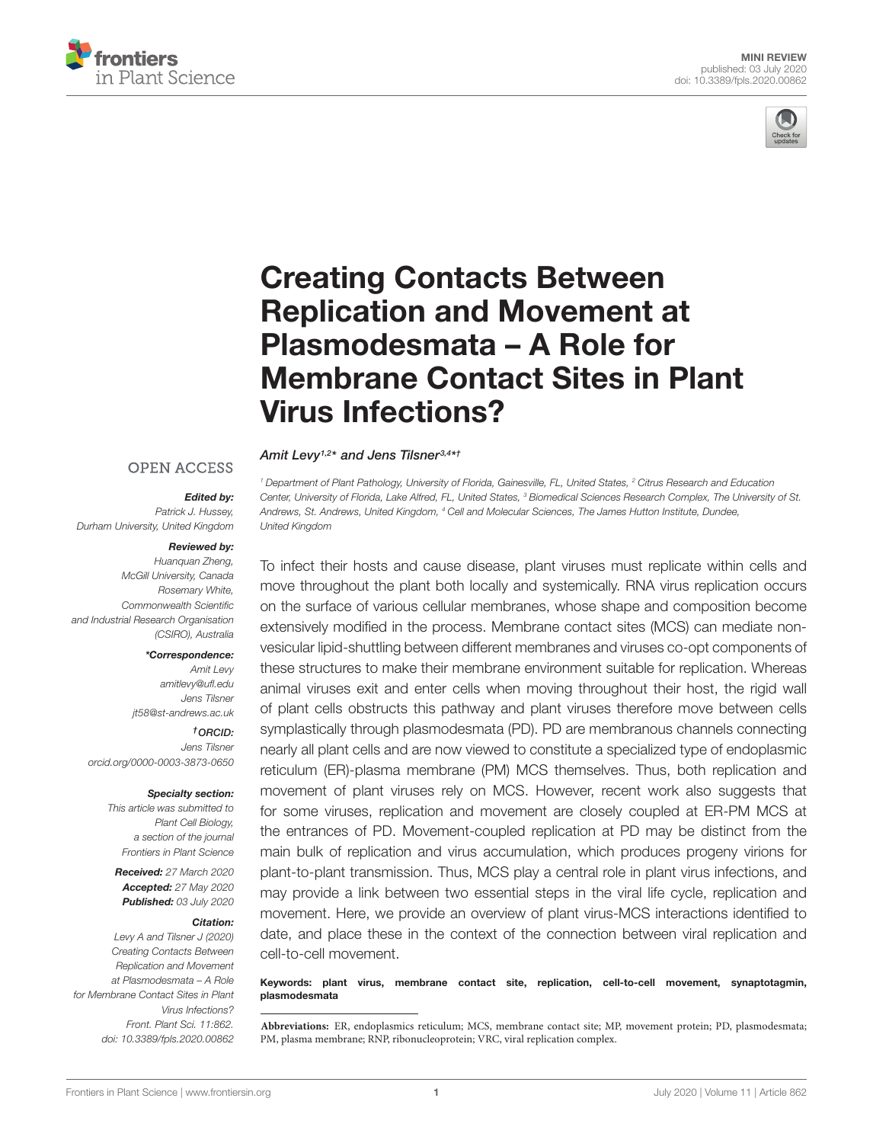



# Creating Contacts Between Replication and Movement at Plasmodesmata – A Role for [Membrane Contact Sites in Plant](https://www.frontiersin.org/articles/10.3389/fpls.2020.00862/full) Virus Infections?

### **OPEN ACCESS**

### Edited by:

[Amit Levy](http://loop.frontiersin.org/people/874152/overview)1,2\* and [Jens Tilsner](http://loop.frontiersin.org/people/54883/overview)3,4\*†

Patrick J. Hussey, Durham University, United Kingdom

### Reviewed by:

Huanquan Zheng, McGill University, Canada Rosemary White, Commonwealth Scientific and Industrial Research Organisation (CSIRO), Australia

#### \*Correspondence:

Amit Levy amitlevy@ufl.edu Jens Tilsner jt58@st-andrews.ac.uk

### †ORCID:

Jens Tilsner [orcid.org/0000-0003-3873-0650](http://orcid.org/0000-0003-3873-0650)

#### Specialty section:

This article was submitted to Plant Cell Biology, a section of the journal Frontiers in Plant Science

Received: 27 March 2020 Accepted: 27 May 2020 Published: 03 July 2020

#### Citation:

Levy A and Tilsner J (2020) Creating Contacts Between Replication and Movement at Plasmodesmata – A Role for Membrane Contact Sites in Plant Virus Infections? Front. Plant Sci. 11:862. doi: [10.3389/fpls.2020.00862](https://doi.org/10.3389/fpls.2020.00862) <sup>1</sup> Department of Plant Pathology, University of Florida, Gainesville, FL, United States, <sup>2</sup> Citrus Research and Education Center, University of Florida, Lake Alfred, FL, United States, <sup>3</sup> Biomedical Sciences Research Complex, The University of St. Andrews, St. Andrews, United Kingdom, <sup>4</sup> Cell and Molecular Sciences, The James Hutton Institute, Dundee, United Kingdom

To infect their hosts and cause disease, plant viruses must replicate within cells and move throughout the plant both locally and systemically. RNA virus replication occurs on the surface of various cellular membranes, whose shape and composition become extensively modified in the process. Membrane contact sites (MCS) can mediate nonvesicular lipid-shuttling between different membranes and viruses co-opt components of these structures to make their membrane environment suitable for replication. Whereas animal viruses exit and enter cells when moving throughout their host, the rigid wall of plant cells obstructs this pathway and plant viruses therefore move between cells symplastically through plasmodesmata (PD). PD are membranous channels connecting nearly all plant cells and are now viewed to constitute a specialized type of endoplasmic reticulum (ER)-plasma membrane (PM) MCS themselves. Thus, both replication and movement of plant viruses rely on MCS. However, recent work also suggests that for some viruses, replication and movement are closely coupled at ER-PM MCS at the entrances of PD. Movement-coupled replication at PD may be distinct from the main bulk of replication and virus accumulation, which produces progeny virions for plant-to-plant transmission. Thus, MCS play a central role in plant virus infections, and may provide a link between two essential steps in the viral life cycle, replication and movement. Here, we provide an overview of plant virus-MCS interactions identified to date, and place these in the context of the connection between viral replication and cell-to-cell movement.

Keywords: plant virus, membrane contact site, replication, cell-to-cell movement, synaptotagmin, plasmodesmata

**Abbreviations:** ER, endoplasmics reticulum; MCS, membrane contact site; MP, movement protein; PD, plasmodesmata; PM, plasma membrane; RNP, ribonucleoprotein; VRC, viral replication complex.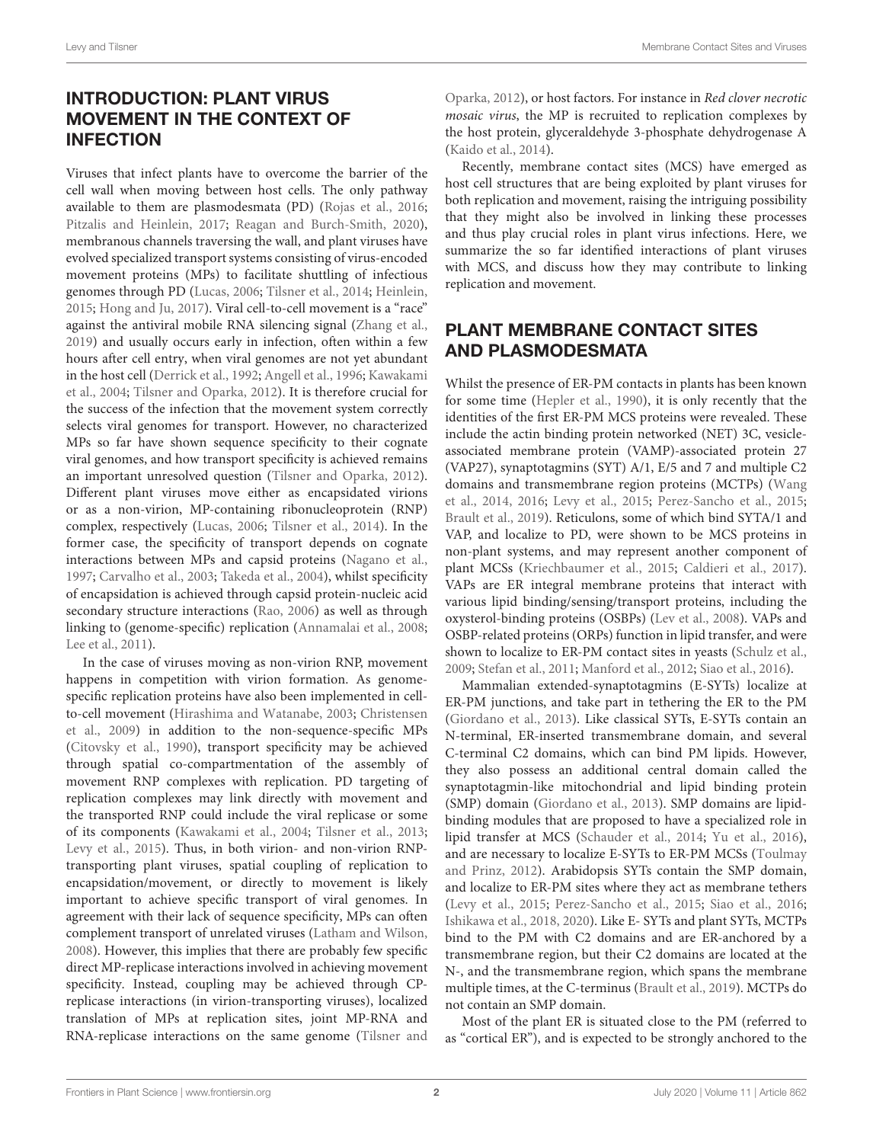# INTRODUCTION: PLANT VIRUS MOVEMENT IN THE CONTEXT OF INFECTION

Viruses that infect plants have to overcome the barrier of the cell wall when moving between host cells. The only pathway available to them are plasmodesmata (PD) [\(Rojas et al.,](#page-6-0) [2016;](#page-6-0) [Pitzalis and Heinlein,](#page-6-1) [2017;](#page-6-1) [Reagan and Burch-Smith,](#page-6-2) [2020\)](#page-6-2), membranous channels traversing the wall, and plant viruses have evolved specialized transport systems consisting of virus-encoded movement proteins (MPs) to facilitate shuttling of infectious genomes through PD [\(Lucas,](#page-6-3) [2006;](#page-6-3) [Tilsner et al.,](#page-7-0) [2014;](#page-7-0) [Heinlein,](#page-5-0) [2015;](#page-5-0) [Hong and Ju,](#page-5-1) [2017\)](#page-5-1). Viral cell-to-cell movement is a "race" against the antiviral mobile RNA silencing signal [\(Zhang et al.,](#page-7-1) [2019\)](#page-7-1) and usually occurs early in infection, often within a few hours after cell entry, when viral genomes are not yet abundant in the host cell [\(Derrick et al.,](#page-5-2) [1992;](#page-5-2) [Angell et al.,](#page-4-0) [1996;](#page-4-0) [Kawakami](#page-5-3) [et al.,](#page-5-3) [2004;](#page-5-3) [Tilsner and Oparka,](#page-7-2) [2012\)](#page-7-2). It is therefore crucial for the success of the infection that the movement system correctly selects viral genomes for transport. However, no characterized MPs so far have shown sequence specificity to their cognate viral genomes, and how transport specificity is achieved remains an important unresolved question [\(Tilsner and Oparka,](#page-7-2) [2012\)](#page-7-2). Different plant viruses move either as encapsidated virions or as a non-virion, MP-containing ribonucleoprotein (RNP) complex, respectively [\(Lucas,](#page-6-3) [2006;](#page-6-3) [Tilsner et al.,](#page-7-0) [2014\)](#page-7-0). In the former case, the specificity of transport depends on cognate interactions between MPs and capsid proteins [\(Nagano et al.,](#page-6-4) [1997;](#page-6-4) [Carvalho et al.,](#page-5-4) [2003;](#page-5-4) [Takeda et al.,](#page-6-5) [2004\)](#page-6-5), whilst specificity of encapsidation is achieved through capsid protein-nucleic acid secondary structure interactions [\(Rao,](#page-6-6) [2006\)](#page-6-6) as well as through linking to (genome-specific) replication [\(Annamalai et al.,](#page-5-5) [2008;](#page-5-5) [Lee et al.,](#page-5-6) [2011\)](#page-5-6).

In the case of viruses moving as non-virion RNP, movement happens in competition with virion formation. As genomespecific replication proteins have also been implemented in cellto-cell movement [\(Hirashima and Watanabe,](#page-5-7) [2003;](#page-5-7) [Christensen](#page-5-8) [et al.,](#page-5-8) [2009\)](#page-5-8) in addition to the non-sequence-specific MPs [\(Citovsky et al.,](#page-5-9) [1990\)](#page-5-9), transport specificity may be achieved through spatial co-compartmentation of the assembly of movement RNP complexes with replication. PD targeting of replication complexes may link directly with movement and the transported RNP could include the viral replicase or some of its components [\(Kawakami et al.,](#page-5-3) [2004;](#page-5-3) [Tilsner et al.,](#page-6-7) [2013;](#page-6-7) [Levy et al.,](#page-6-8) [2015\)](#page-6-8). Thus, in both virion- and non-virion RNPtransporting plant viruses, spatial coupling of replication to encapsidation/movement, or directly to movement is likely important to achieve specific transport of viral genomes. In agreement with their lack of sequence specificity, MPs can often complement transport of unrelated viruses [\(Latham and Wilson,](#page-5-10) [2008\)](#page-5-10). However, this implies that there are probably few specific direct MP-replicase interactions involved in achieving movement specificity. Instead, coupling may be achieved through CPreplicase interactions (in virion-transporting viruses), localized translation of MPs at replication sites, joint MP-RNA and RNA-replicase interactions on the same genome [\(Tilsner and](#page-7-2)

[Oparka,](#page-7-2) [2012\)](#page-7-2), or host factors. For instance in Red clover necrotic mosaic virus, the MP is recruited to replication complexes by the host protein, glyceraldehyde 3-phosphate dehydrogenase A [\(Kaido et al.,](#page-5-11) [2014\)](#page-5-11).

Recently, membrane contact sites (MCS) have emerged as host cell structures that are being exploited by plant viruses for both replication and movement, raising the intriguing possibility that they might also be involved in linking these processes and thus play crucial roles in plant virus infections. Here, we summarize the so far identified interactions of plant viruses with MCS, and discuss how they may contribute to linking replication and movement.

# PLANT MEMBRANE CONTACT SITES AND PLASMODESMATA

Whilst the presence of ER-PM contacts in plants has been known for some time [\(Hepler et al.,](#page-5-12) [1990\)](#page-5-12), it is only recently that the identities of the first ER-PM MCS proteins were revealed. These include the actin binding protein networked (NET) 3C, vesicleassociated membrane protein (VAMP)-associated protein 27 (VAP27), synaptotagmins (SYT) A/1, E/5 and 7 and multiple C2 domains and transmembrane region proteins (MCTPs) [\(Wang](#page-7-3) [et al.,](#page-7-3) [2014,](#page-7-3) [2016;](#page-7-4) [Levy et al.,](#page-6-8) [2015;](#page-6-8) [Perez-Sancho et al.,](#page-6-9) [2015;](#page-6-9) [Brault et al.,](#page-5-13) [2019\)](#page-5-13). Reticulons, some of which bind SYTA/1 and VAP, and localize to PD, were shown to be MCS proteins in non-plant systems, and may represent another component of plant MCSs [\(Kriechbaumer et al.,](#page-5-14) [2015;](#page-5-14) [Caldieri et al.,](#page-5-15) [2017\)](#page-5-15). VAPs are ER integral membrane proteins that interact with various lipid binding/sensing/transport proteins, including the oxysterol-binding proteins (OSBPs) [\(Lev et al.,](#page-6-10) [2008\)](#page-6-10). VAPs and OSBP-related proteins (ORPs) function in lipid transfer, and were shown to localize to ER-PM contact sites in yeasts [\(Schulz et al.,](#page-6-11) [2009;](#page-6-11) [Stefan et al.,](#page-6-12) [2011;](#page-6-12) [Manford et al.,](#page-6-13) [2012;](#page-6-13) [Siao et al.,](#page-6-14) [2016\)](#page-6-14).

Mammalian extended-synaptotagmins (E-SYTs) localize at ER-PM junctions, and take part in tethering the ER to the PM [\(Giordano et al.,](#page-5-16) [2013\)](#page-5-16). Like classical SYTs, E-SYTs contain an N-terminal, ER-inserted transmembrane domain, and several C-terminal C2 domains, which can bind PM lipids. However, they also possess an additional central domain called the synaptotagmin-like mitochondrial and lipid binding protein (SMP) domain [\(Giordano et al.,](#page-5-16) [2013\)](#page-5-16). SMP domains are lipidbinding modules that are proposed to have a specialized role in lipid transfer at MCS [\(Schauder et al.,](#page-6-15) [2014;](#page-6-15) [Yu et al.,](#page-7-5) [2016\)](#page-7-5), and are necessary to localize E-SYTs to ER-PM MCSs [\(Toulmay](#page-7-6) [and Prinz,](#page-7-6) [2012\)](#page-7-6). Arabidopsis SYTs contain the SMP domain, and localize to ER-PM sites where they act as membrane tethers [\(Levy et al.,](#page-6-8) [2015;](#page-6-8) [Perez-Sancho et al.,](#page-6-9) [2015;](#page-6-9) [Siao et al.,](#page-6-14) [2016;](#page-6-14) [Ishikawa et al.,](#page-5-17) [2018,](#page-5-17) [2020\)](#page-5-18). Like E- SYTs and plant SYTs, MCTPs bind to the PM with C2 domains and are ER-anchored by a transmembrane region, but their C2 domains are located at the N-, and the transmembrane region, which spans the membrane multiple times, at the C-terminus [\(Brault et al.,](#page-5-13) [2019\)](#page-5-13). MCTPs do not contain an SMP domain.

Most of the plant ER is situated close to the PM (referred to as "cortical ER"), and is expected to be strongly anchored to the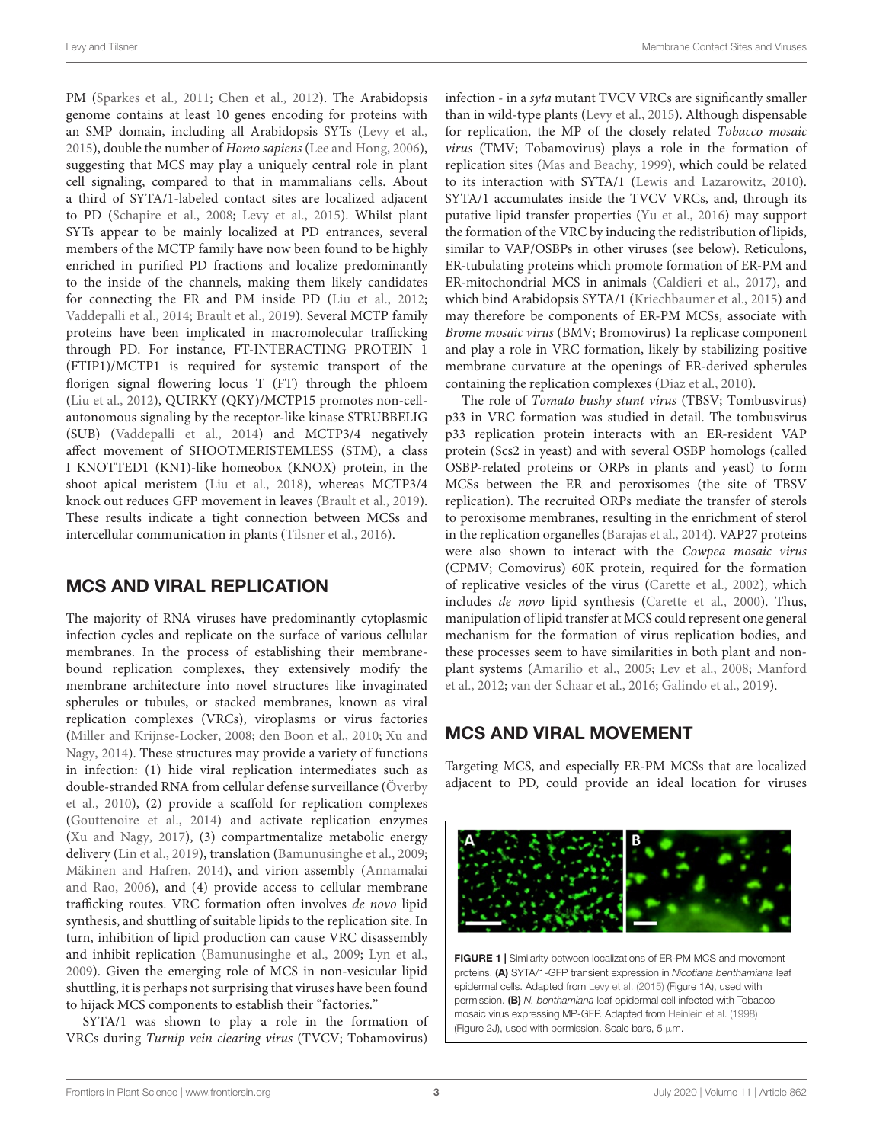PM [\(Sparkes et al.,](#page-6-16) [2011;](#page-6-16) [Chen et al.,](#page-5-19) [2012\)](#page-5-19). The Arabidopsis genome contains at least 10 genes encoding for proteins with an SMP domain, including all Arabidopsis SYTs [\(Levy et al.,](#page-6-8) [2015\)](#page-6-8), double the number of Homo sapiens [\(Lee and Hong,](#page-5-20) [2006\)](#page-5-20), suggesting that MCS may play a uniquely central role in plant cell signaling, compared to that in mammalians cells. About a third of SYTA/1-labeled contact sites are localized adjacent to PD [\(Schapire et al.,](#page-6-17) [2008;](#page-6-17) [Levy et al.,](#page-6-8) [2015\)](#page-6-8). Whilst plant SYTs appear to be mainly localized at PD entrances, several members of the MCTP family have now been found to be highly enriched in purified PD fractions and localize predominantly to the inside of the channels, making them likely candidates for connecting the ER and PM inside PD [\(Liu et al.,](#page-6-18) [2012;](#page-6-18) [Vaddepalli et al.,](#page-7-7) [2014;](#page-7-7) [Brault et al.,](#page-5-13) [2019\)](#page-5-13). Several MCTP family proteins have been implicated in macromolecular trafficking through PD. For instance, FT-INTERACTING PROTEIN 1 (FTIP1)/MCTP1 is required for systemic transport of the florigen signal flowering locus T (FT) through the phloem [\(Liu et al.,](#page-6-18) [2012\)](#page-6-18), QUIRKY (QKY)/MCTP15 promotes non-cellautonomous signaling by the receptor-like kinase STRUBBELIG (SUB) [\(Vaddepalli et al.,](#page-7-7) [2014\)](#page-7-7) and MCTP3/4 negatively affect movement of SHOOTMERISTEMLESS (STM), a class I KNOTTED1 (KN1)-like homeobox (KNOX) protein, in the shoot apical meristem [\(Liu et al.,](#page-6-19) [2018\)](#page-6-19), whereas MCTP3/4 knock out reduces GFP movement in leaves [\(Brault et al.,](#page-5-13) [2019\)](#page-5-13). These results indicate a tight connection between MCSs and intercellular communication in plants [\(Tilsner et al.,](#page-7-8) [2016\)](#page-7-8).

# MCS AND VIRAL REPLICATION

The majority of RNA viruses have predominantly cytoplasmic infection cycles and replicate on the surface of various cellular membranes. In the process of establishing their membranebound replication complexes, they extensively modify the membrane architecture into novel structures like invaginated spherules or tubules, or stacked membranes, known as viral replication complexes (VRCs), viroplasms or virus factories [\(Miller and Krijnse-Locker,](#page-6-20) [2008;](#page-6-20) [den Boon et al.,](#page-5-21) [2010;](#page-5-21) [Xu and](#page-7-9) [Nagy,](#page-7-9) [2014\)](#page-7-9). These structures may provide a variety of functions in infection: (1) hide viral replication intermediates such as double-stranded RNA from cellular defense surveillance [\(Överby](#page-6-21) [et al.,](#page-6-21) [2010\)](#page-6-21), (2) provide a scaffold for replication complexes [\(Gouttenoire et al.,](#page-5-22) [2014\)](#page-5-22) and activate replication enzymes [\(Xu and Nagy,](#page-7-10) [2017\)](#page-7-10), (3) compartmentalize metabolic energy delivery [\(Lin et al.,](#page-6-22) [2019\)](#page-6-22), translation [\(Bamunusinghe et al.,](#page-5-23) [2009;](#page-5-23) [Mäkinen and Hafren,](#page-6-23) [2014\)](#page-6-23), and virion assembly [\(Annamalai](#page-5-24) [and Rao,](#page-5-24) [2006\)](#page-5-24), and (4) provide access to cellular membrane trafficking routes. VRC formation often involves de novo lipid synthesis, and shuttling of suitable lipids to the replication site. In turn, inhibition of lipid production can cause VRC disassembly and inhibit replication [\(Bamunusinghe et al.,](#page-5-23) [2009;](#page-5-23) [Lyn et al.,](#page-6-24) [2009\)](#page-6-24). Given the emerging role of MCS in non-vesicular lipid shuttling, it is perhaps not surprising that viruses have been found to hijack MCS components to establish their "factories."

SYTA/1 was shown to play a role in the formation of VRCs during Turnip vein clearing virus (TVCV; Tobamovirus)

infection - in a syta mutant TVCV VRCs are significantly smaller than in wild-type plants [\(Levy et al.,](#page-6-8) [2015\)](#page-6-8). Although dispensable for replication, the MP of the closely related Tobacco mosaic virus (TMV; Tobamovirus) plays a role in the formation of replication sites [\(Mas and Beachy,](#page-6-25) [1999\)](#page-6-25), which could be related to its interaction with SYTA/1 [\(Lewis and Lazarowitz,](#page-6-26) [2010\)](#page-6-26). SYTA/1 accumulates inside the TVCV VRCs, and, through its putative lipid transfer properties [\(Yu et al.,](#page-7-5) [2016\)](#page-7-5) may support the formation of the VRC by inducing the redistribution of lipids, similar to VAP/OSBPs in other viruses (see below). Reticulons, ER-tubulating proteins which promote formation of ER-PM and ER-mitochondrial MCS in animals [\(Caldieri et al.,](#page-5-15) [2017\)](#page-5-15), and which bind Arabidopsis SYTA/1 [\(Kriechbaumer et al.,](#page-5-14) [2015\)](#page-5-14) and may therefore be components of ER-PM MCSs, associate with Brome mosaic virus (BMV; Bromovirus) 1a replicase component and play a role in VRC formation, likely by stabilizing positive membrane curvature at the openings of ER-derived spherules containing the replication complexes [\(Diaz et al.,](#page-5-25) [2010\)](#page-5-25).

The role of Tomato bushy stunt virus (TBSV; Tombusvirus) p33 in VRC formation was studied in detail. The tombusvirus p33 replication protein interacts with an ER-resident VAP protein (Scs2 in yeast) and with several OSBP homologs (called OSBP-related proteins or ORPs in plants and yeast) to form MCSs between the ER and peroxisomes (the site of TBSV replication). The recruited ORPs mediate the transfer of sterols to peroxisome membranes, resulting in the enrichment of sterol in the replication organelles [\(Barajas et al.,](#page-5-26) [2014\)](#page-5-26). VAP27 proteins were also shown to interact with the Cowpea mosaic virus (CPMV; Comovirus) 60K protein, required for the formation of replicative vesicles of the virus [\(Carette et al.,](#page-5-27) [2002\)](#page-5-27), which includes de novo lipid synthesis [\(Carette et al.,](#page-5-28) [2000\)](#page-5-28). Thus, manipulation of lipid transfer at MCS could represent one general mechanism for the formation of virus replication bodies, and these processes seem to have similarities in both plant and nonplant systems [\(Amarilio et al.,](#page-4-1) [2005;](#page-4-1) [Lev et al.,](#page-6-10) [2008;](#page-6-10) [Manford](#page-6-13) [et al.,](#page-6-13) [2012;](#page-6-13) [van der Schaar et al.,](#page-7-11) [2016;](#page-7-11) [Galindo et al.,](#page-5-29) [2019\)](#page-5-29).

# MCS AND VIRAL MOVEMENT

Targeting MCS, and especially ER-PM MCSs that are localized adjacent to PD, could provide an ideal location for viruses

<span id="page-2-0"></span>

FIGURE 1 | Similarity between localizations of ER-PM MCS and movement proteins. (A) SYTA/1-GFP transient expression in Nicotiana benthamiana leaf epidermal cells. Adapted from [Levy et al.](#page-6-8) [\(2015\)](#page-6-8) (Figure 1A), used with permission. (B) N. benthamiana leaf epidermal cell infected with Tobacco mosaic virus expressing MP-GFP. Adapted from [Heinlein et al.](#page-5-30) [\(1998\)](#page-5-30) (Figure 2J), used with permission. Scale bars,  $5 \mu m$ .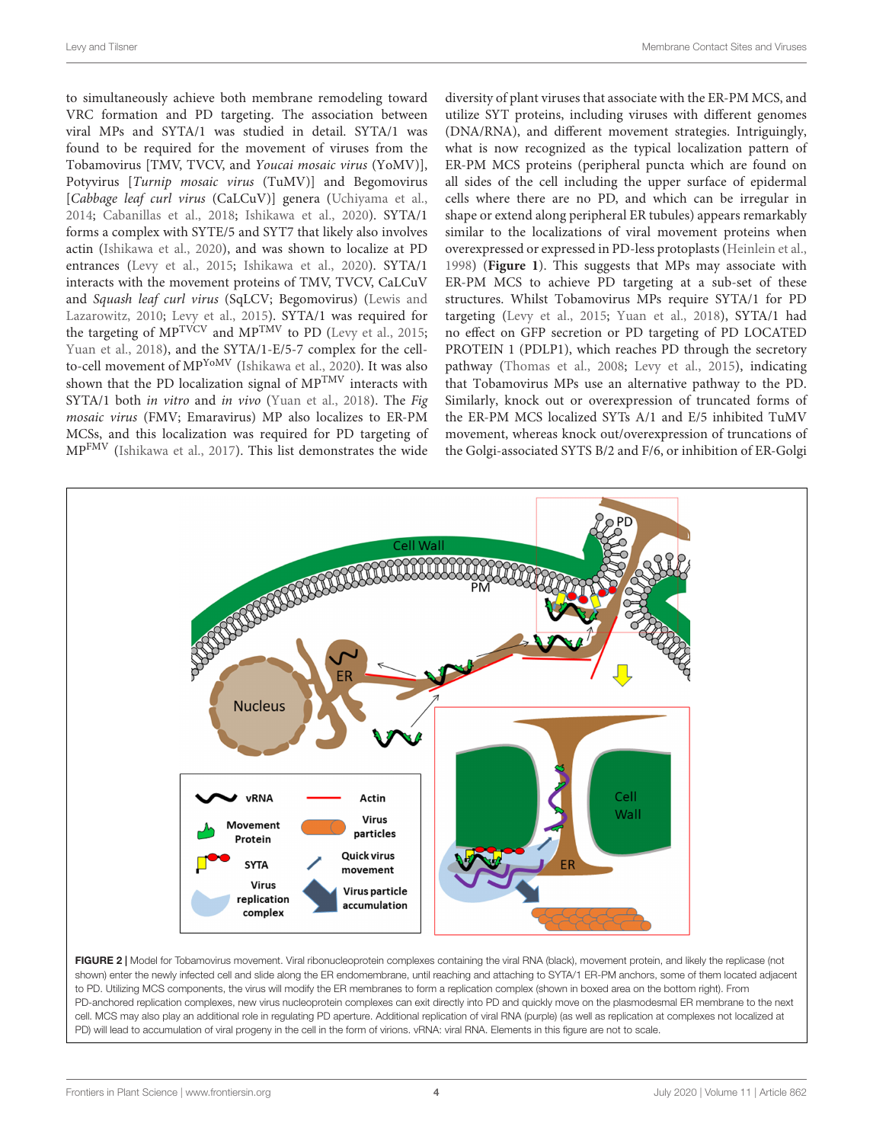to simultaneously achieve both membrane remodeling toward VRC formation and PD targeting. The association between viral MPs and SYTA/1 was studied in detail. SYTA/1 was found to be required for the movement of viruses from the Tobamovirus [TMV, TVCV, and Youcai mosaic virus (YoMV)], Potyvirus [Turnip mosaic virus (TuMV)] and Begomovirus [Cabbage leaf curl virus (CaLCuV)] genera [\(Uchiyama et al.,](#page-7-12) [2014;](#page-7-12) [Cabanillas et al.,](#page-5-31) [2018;](#page-5-31) [Ishikawa et al.,](#page-5-18) [2020\)](#page-5-18). SYTA/1 forms a complex with SYTE/5 and SYT7 that likely also involves actin [\(Ishikawa et al.,](#page-5-18) [2020\)](#page-5-18), and was shown to localize at PD entrances [\(Levy et al.,](#page-6-8) [2015;](#page-6-8) [Ishikawa et al.,](#page-5-18) [2020\)](#page-5-18). SYTA/1 interacts with the movement proteins of TMV, TVCV, CaLCuV and Squash leaf curl virus (SqLCV; Begomovirus) [\(Lewis and](#page-6-26) [Lazarowitz,](#page-6-26) [2010;](#page-6-26) [Levy et al.,](#page-6-8) [2015\)](#page-6-8). SYTA/1 was required for the targeting of  $MP^{TVCV}$  and  $MP^{TMV}$  to PD [\(Levy et al.,](#page-6-8) [2015;](#page-6-8) [Yuan et al.,](#page-7-13) [2018\)](#page-7-13), and the SYTA/1-E/5-7 complex for the cellto-cell movement of MPYoMV [\(Ishikawa et al.,](#page-5-18) [2020\)](#page-5-18). It was also shown that the PD localization signal of  $MP^{TMV}$  interacts with SYTA/1 both *in vitro* and *in vivo* [\(Yuan et al.,](#page-7-13) [2018\)](#page-7-13). The Fig mosaic virus (FMV; Emaravirus) MP also localizes to ER-PM MCSs, and this localization was required for PD targeting of MPFMV [\(Ishikawa et al.,](#page-5-32) [2017\)](#page-5-32). This list demonstrates the wide

diversity of plant viruses that associate with the ER-PM MCS, and utilize SYT proteins, including viruses with different genomes (DNA/RNA), and different movement strategies. Intriguingly, what is now recognized as the typical localization pattern of ER-PM MCS proteins (peripheral puncta which are found on all sides of the cell including the upper surface of epidermal cells where there are no PD, and which can be irregular in shape or extend along peripheral ER tubules) appears remarkably similar to the localizations of viral movement proteins when overexpressed or expressed in PD-less protoplasts [\(Heinlein et al.,](#page-5-30) [1998\)](#page-5-30) (**[Figure 1](#page-2-0)**). This suggests that MPs may associate with ER-PM MCS to achieve PD targeting at a sub-set of these structures. Whilst Tobamovirus MPs require SYTA/1 for PD targeting [\(Levy et al.,](#page-6-8) [2015;](#page-6-8) [Yuan et al.,](#page-7-13) [2018\)](#page-7-13), SYTA/1 had no effect on GFP secretion or PD targeting of PD LOCATED PROTEIN 1 (PDLP1), which reaches PD through the secretory pathway [\(Thomas et al.,](#page-6-27) [2008;](#page-6-27) [Levy et al.,](#page-6-8) [2015\)](#page-6-8), indicating that Tobamovirus MPs use an alternative pathway to the PD. Similarly, knock out or overexpression of truncated forms of the ER-PM MCS localized SYTs A/1 and E/5 inhibited TuMV movement, whereas knock out/overexpression of truncations of the Golgi-associated SYTS B/2 and F/6, or inhibition of ER-Golgi



<span id="page-3-0"></span>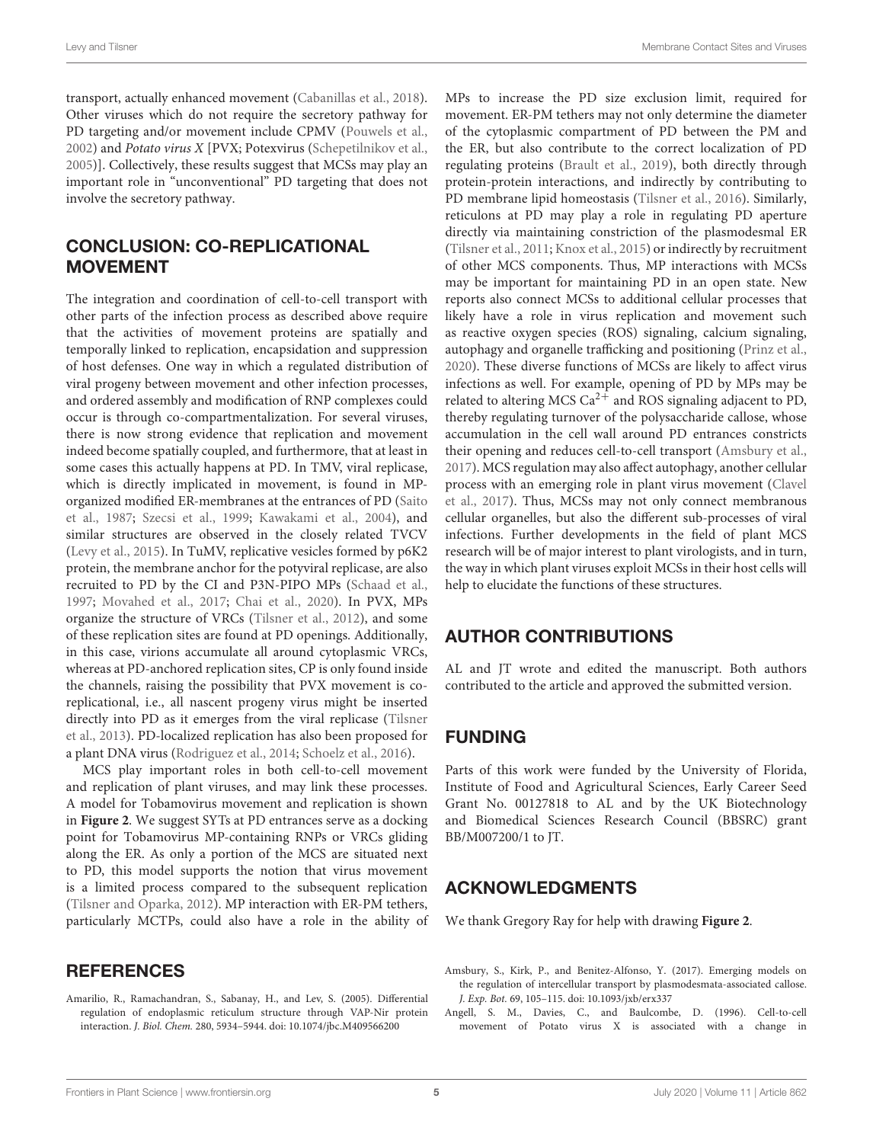transport, actually enhanced movement [\(Cabanillas et al.,](#page-5-31) [2018\)](#page-5-31). Other viruses which do not require the secretory pathway for PD targeting and/or movement include CPMV [\(Pouwels et al.,](#page-6-28) [2002\)](#page-6-28) and Potato virus X [PVX; Potexvirus [\(Schepetilnikov et al.,](#page-6-29) [2005\)](#page-6-29)]. Collectively, these results suggest that MCSs may play an important role in "unconventional" PD targeting that does not involve the secretory pathway.

# CONCLUSION: CO-REPLICATIONAL MOVEMENT

The integration and coordination of cell-to-cell transport with other parts of the infection process as described above require that the activities of movement proteins are spatially and temporally linked to replication, encapsidation and suppression of host defenses. One way in which a regulated distribution of viral progeny between movement and other infection processes, and ordered assembly and modification of RNP complexes could occur is through co-compartmentalization. For several viruses, there is now strong evidence that replication and movement indeed become spatially coupled, and furthermore, that at least in some cases this actually happens at PD. In TMV, viral replicase, which is directly implicated in movement, is found in MPorganized modified ER-membranes at the entrances of PD [\(Saito](#page-6-30) [et al.,](#page-6-30) [1987;](#page-6-30) [Szecsi et al.,](#page-6-31) [1999;](#page-6-31) [Kawakami et al.,](#page-5-3) [2004\)](#page-5-3), and similar structures are observed in the closely related TVCV [\(Levy et al.,](#page-6-8) [2015\)](#page-6-8). In TuMV, replicative vesicles formed by p6K2 protein, the membrane anchor for the potyviral replicase, are also recruited to PD by the CI and P3N-PIPO MPs [\(Schaad et al.,](#page-6-32) [1997;](#page-6-32) [Movahed et al.,](#page-6-33) [2017;](#page-6-33) [Chai et al.,](#page-5-33) [2020\)](#page-5-33). In PVX, MPs organize the structure of VRCs [\(Tilsner et al.,](#page-6-34) [2012\)](#page-6-34), and some of these replication sites are found at PD openings. Additionally, in this case, virions accumulate all around cytoplasmic VRCs, whereas at PD-anchored replication sites, CP is only found inside the channels, raising the possibility that PVX movement is coreplicational, i.e., all nascent progeny virus might be inserted directly into PD as it emerges from the viral replicase [\(Tilsner](#page-6-7) [et al.,](#page-6-7) [2013\)](#page-6-7). PD-localized replication has also been proposed for a plant DNA virus [\(Rodriguez et al.,](#page-6-35) [2014;](#page-6-35) [Schoelz et al.,](#page-6-36) [2016\)](#page-6-36).

MCS play important roles in both cell-to-cell movement and replication of plant viruses, and may link these processes. A model for Tobamovirus movement and replication is shown in **[Figure 2](#page-3-0)**. We suggest SYTs at PD entrances serve as a docking point for Tobamovirus MP-containing RNPs or VRCs gliding along the ER. As only a portion of the MCS are situated next to PD, this model supports the notion that virus movement is a limited process compared to the subsequent replication [\(Tilsner and Oparka,](#page-7-2) [2012\)](#page-7-2). MP interaction with ER-PM tethers, particularly MCTPs, could also have a role in the ability of

# **REFERENCES**

<span id="page-4-1"></span>Amarilio, R., Ramachandran, S., Sabanay, H., and Lev, S. (2005). Differential regulation of endoplasmic reticulum structure through VAP-Nir protein interaction. J. Biol. Chem. 280, 5934–5944. [doi: 10.1074/jbc.M409566200](https://doi.org/10.1074/jbc.M409566200)

MPs to increase the PD size exclusion limit, required for movement. ER-PM tethers may not only determine the diameter of the cytoplasmic compartment of PD between the PM and the ER, but also contribute to the correct localization of PD regulating proteins [\(Brault et al.,](#page-5-13) [2019\)](#page-5-13), both directly through protein-protein interactions, and indirectly by contributing to PD membrane lipid homeostasis [\(Tilsner et al.,](#page-7-8) [2016\)](#page-7-8). Similarly, reticulons at PD may play a role in regulating PD aperture directly via maintaining constriction of the plasmodesmal ER [\(Tilsner et al.,](#page-6-37) [2011;](#page-6-37) [Knox et al.,](#page-5-34) [2015\)](#page-5-34) or indirectly by recruitment of other MCS components. Thus, MP interactions with MCSs may be important for maintaining PD in an open state. New reports also connect MCSs to additional cellular processes that likely have a role in virus replication and movement such as reactive oxygen species (ROS) signaling, calcium signaling, autophagy and organelle trafficking and positioning [\(Prinz et al.,](#page-6-38) [2020\)](#page-6-38). These diverse functions of MCSs are likely to affect virus infections as well. For example, opening of PD by MPs may be related to altering MCS  $Ca^{2+}$  and ROS signaling adjacent to PD, thereby regulating turnover of the polysaccharide callose, whose accumulation in the cell wall around PD entrances constricts their opening and reduces cell-to-cell transport [\(Amsbury et al.,](#page-4-2) [2017\)](#page-4-2). MCS regulation may also affect autophagy, another cellular process with an emerging role in plant virus movement [\(Clavel](#page-5-35) [et al.,](#page-5-35) [2017\)](#page-5-35). Thus, MCSs may not only connect membranous cellular organelles, but also the different sub-processes of viral infections. Further developments in the field of plant MCS research will be of major interest to plant virologists, and in turn, the way in which plant viruses exploit MCSs in their host cells will help to elucidate the functions of these structures.

# AUTHOR CONTRIBUTIONS

AL and JT wrote and edited the manuscript. Both authors contributed to the article and approved the submitted version.

# FUNDING

Parts of this work were funded by the University of Florida, Institute of Food and Agricultural Sciences, Early Career Seed Grant No. 00127818 to AL and by the UK Biotechnology and Biomedical Sciences Research Council (BBSRC) grant BB/M007200/1 to JT.

# ACKNOWLEDGMENTS

We thank Gregory Ray for help with drawing **[Figure 2](#page-3-0)**.

- <span id="page-4-2"></span>Amsbury, S., Kirk, P., and Benitez-Alfonso, Y. (2017). Emerging models on the regulation of intercellular transport by plasmodesmata-associated callose. J. Exp. Bot. 69, 105–115. [doi: 10.1093/jxb/erx337](https://doi.org/10.1093/jxb/erx337)
- <span id="page-4-0"></span>Angell, S. M., Davies, C., and Baulcombe, D. (1996). Cell-to-cell movement of Potato virus X is associated with a change in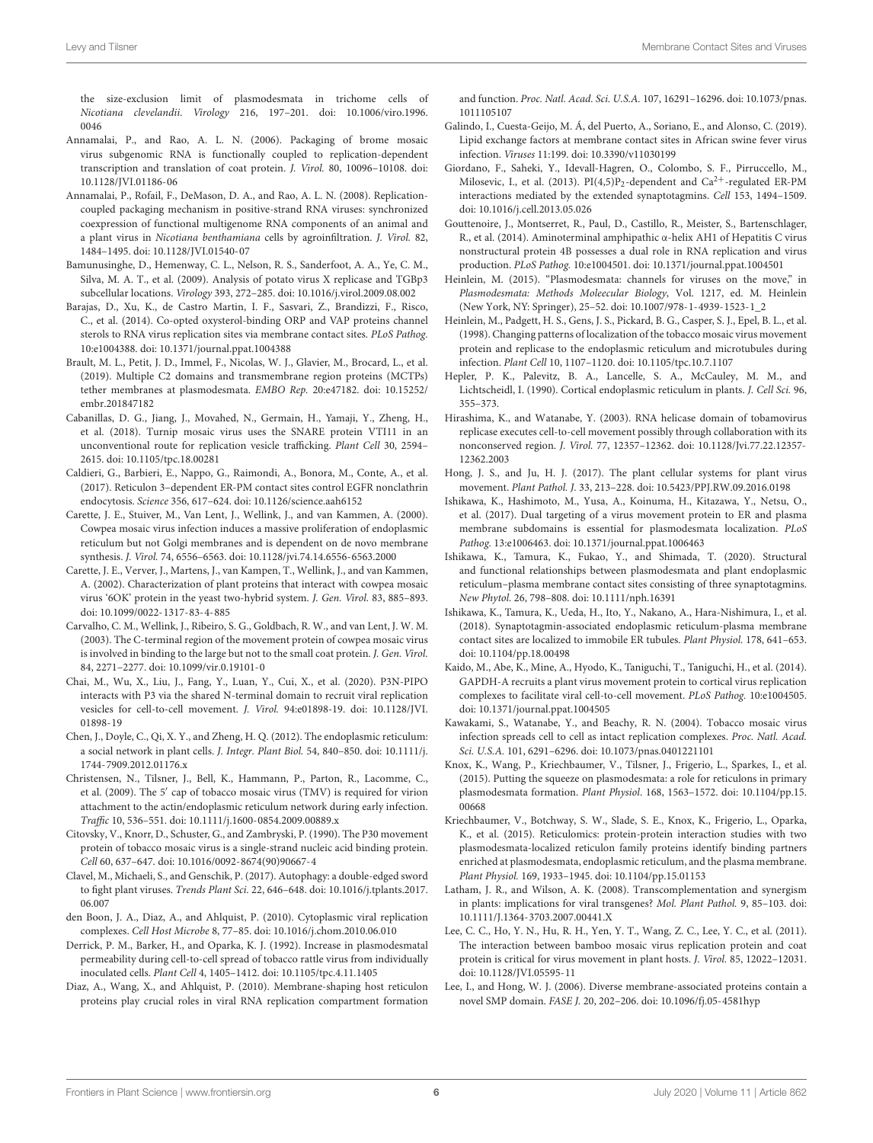the size-exclusion limit of plasmodesmata in trichome cells of Nicotiana clevelandii. Virology 216, 197–201. [doi: 10.1006/viro.1996.](https://doi.org/10.1006/viro.1996.0046) [0046](https://doi.org/10.1006/viro.1996.0046)

- <span id="page-5-24"></span>Annamalai, P., and Rao, A. L. N. (2006). Packaging of brome mosaic virus subgenomic RNA is functionally coupled to replication-dependent transcription and translation of coat protein. J. Virol. 80, 10096–10108. [doi:](https://doi.org/10.1128/JVI.01186-06) [10.1128/JVI.01186-06](https://doi.org/10.1128/JVI.01186-06)
- <span id="page-5-5"></span>Annamalai, P., Rofail, F., DeMason, D. A., and Rao, A. L. N. (2008). Replicationcoupled packaging mechanism in positive-strand RNA viruses: synchronized coexpression of functional multigenome RNA components of an animal and a plant virus in Nicotiana benthamiana cells by agroinfiltration. J. Virol. 82, 1484–1495. [doi: 10.1128/JVI.01540-07](https://doi.org/10.1128/JVI.01540-07)
- <span id="page-5-23"></span>Bamunusinghe, D., Hemenway, C. L., Nelson, R. S., Sanderfoot, A. A., Ye, C. M., Silva, M. A. T., et al. (2009). Analysis of potato virus X replicase and TGBp3 subcellular locations. Virology 393, 272–285. [doi: 10.1016/j.virol.2009.08.002](https://doi.org/10.1016/j.virol.2009.08.002)
- <span id="page-5-26"></span>Barajas, D., Xu, K., de Castro Martin, I. F., Sasvari, Z., Brandizzi, F., Risco, C., et al. (2014). Co-opted oxysterol-binding ORP and VAP proteins channel sterols to RNA virus replication sites via membrane contact sites. PLoS Pathog. 10:e1004388. [doi: 10.1371/journal.ppat.1004388](https://doi.org/10.1371/journal.ppat.1004388)
- <span id="page-5-13"></span>Brault, M. L., Petit, J. D., Immel, F., Nicolas, W. J., Glavier, M., Brocard, L., et al. (2019). Multiple C2 domains and transmembrane region proteins (MCTPs) tether membranes at plasmodesmata. EMBO Rep. 20:e47182. [doi: 10.15252/](https://doi.org/10.15252/embr.201847182) [embr.201847182](https://doi.org/10.15252/embr.201847182)
- <span id="page-5-31"></span>Cabanillas, D. G., Jiang, J., Movahed, N., Germain, H., Yamaji, Y., Zheng, H., et al. (2018). Turnip mosaic virus uses the SNARE protein VTI11 in an unconventional route for replication vesicle trafficking. Plant Cell 30, 2594– 2615. [doi: 10.1105/tpc.18.00281](https://doi.org/10.1105/tpc.18.00281)
- <span id="page-5-15"></span>Caldieri, G., Barbieri, E., Nappo, G., Raimondi, A., Bonora, M., Conte, A., et al. (2017). Reticulon 3–dependent ER-PM contact sites control EGFR nonclathrin endocytosis. Science 356, 617–624. [doi: 10.1126/science.aah6152](https://doi.org/10.1126/science.aah6152)
- <span id="page-5-28"></span>Carette, J. E., Stuiver, M., Van Lent, J., Wellink, J., and van Kammen, A. (2000). Cowpea mosaic virus infection induces a massive proliferation of endoplasmic reticulum but not Golgi membranes and is dependent on de novo membrane synthesis. J. Virol. 74, 6556–6563. [doi: 10.1128/jvi.74.14.6556-6563.2000](https://doi.org/10.1128/jvi.74.14.6556-6563.2000)
- <span id="page-5-27"></span>Carette, J. E., Verver, J., Martens, J., van Kampen, T., Wellink, J., and van Kammen, A. (2002). Characterization of plant proteins that interact with cowpea mosaic virus '6OK' protein in the yeast two-hybrid system. J. Gen. Virol. 83, 885–893. [doi: 10.1099/0022-1317-83-4-885](https://doi.org/10.1099/0022-1317-83-4-885)
- <span id="page-5-4"></span>Carvalho, C. M., Wellink, J., Ribeiro, S. G., Goldbach, R. W., and van Lent, J. W. M. (2003). The C-terminal region of the movement protein of cowpea mosaic virus is involved in binding to the large but not to the small coat protein. J. Gen. Virol. 84, 2271–2277. [doi: 10.1099/vir.0.19101-0](https://doi.org/10.1099/vir.0.19101-0)
- <span id="page-5-33"></span>Chai, M., Wu, X., Liu, J., Fang, Y., Luan, Y., Cui, X., et al. (2020). P3N-PIPO interacts with P3 via the shared N-terminal domain to recruit viral replication vesicles for cell-to-cell movement. J. Virol. 94:e01898-19. [doi: 10.1128/JVI.](https://doi.org/10.1128/JVI.01898-19) [01898-19](https://doi.org/10.1128/JVI.01898-19)
- <span id="page-5-19"></span>Chen, J., Doyle, C., Qi, X. Y., and Zheng, H. Q. (2012). The endoplasmic reticulum: a social network in plant cells. J. Integr. Plant Biol. 54, 840–850. [doi: 10.1111/j.](https://doi.org/10.1111/j.1744-7909.2012.01176.x) [1744-7909.2012.01176.x](https://doi.org/10.1111/j.1744-7909.2012.01176.x)
- <span id="page-5-8"></span>Christensen, N., Tilsner, J., Bell, K., Hammann, P., Parton, R., Lacomme, C., et al. (2009). The 5' cap of tobacco mosaic virus (TMV) is required for virion attachment to the actin/endoplasmic reticulum network during early infection. Traffic 10, 536–551. [doi: 10.1111/j.1600-0854.2009.00889.x](https://doi.org/10.1111/j.1600-0854.2009.00889.x)
- <span id="page-5-9"></span>Citovsky, V., Knorr, D., Schuster, G., and Zambryski, P. (1990). The P30 movement protein of tobacco mosaic virus is a single-strand nucleic acid binding protein. Cell 60, 637–647. [doi: 10.1016/0092-8674\(90\)90667-4](https://doi.org/10.1016/0092-8674(90)90667-4)
- <span id="page-5-35"></span>Clavel, M., Michaeli, S., and Genschik, P. (2017). Autophagy: a double-edged sword to fight plant viruses. Trends Plant Sci. 22, 646–648. [doi: 10.1016/j.tplants.2017.](https://doi.org/10.1016/j.tplants.2017.06.007) [06.007](https://doi.org/10.1016/j.tplants.2017.06.007)
- <span id="page-5-21"></span>den Boon, J. A., Diaz, A., and Ahlquist, P. (2010). Cytoplasmic viral replication complexes. Cell Host Microbe 8, 77–85. [doi: 10.1016/j.chom.2010.06.010](https://doi.org/10.1016/j.chom.2010.06.010)
- <span id="page-5-2"></span>Derrick, P. M., Barker, H., and Oparka, K. J. (1992). Increase in plasmodesmatal permeability during cell-to-cell spread of tobacco rattle virus from individually inoculated cells. Plant Cell 4, 1405–1412. [doi: 10.1105/tpc.4.11.1405](https://doi.org/10.1105/tpc.4.11.1405)
- <span id="page-5-25"></span>Diaz, A., Wang, X., and Ahlquist, P. (2010). Membrane-shaping host reticulon proteins play crucial roles in viral RNA replication compartment formation

and function. Proc. Natl. Acad. Sci. U.S.A. 107, 16291–16296. [doi: 10.1073/pnas.](https://doi.org/10.1073/pnas.1011105107) [1011105107](https://doi.org/10.1073/pnas.1011105107)

- <span id="page-5-29"></span>Galindo, I., Cuesta-Geijo, M. Á, del Puerto, A., Soriano, E., and Alonso, C. (2019). Lipid exchange factors at membrane contact sites in African swine fever virus infection. Viruses 11:199. [doi: 10.3390/v11030199](https://doi.org/10.3390/v11030199)
- <span id="page-5-16"></span>Giordano, F., Saheki, Y., Idevall-Hagren, O., Colombo, S. F., Pirruccello, M., Milosevic, I., et al. (2013). PI(4,5)P<sub>2</sub>-dependent and Ca<sup>2+</sup>-regulated ER-PM interactions mediated by the extended synaptotagmins. Cell 153, 1494–1509. [doi: 10.1016/j.cell.2013.05.026](https://doi.org/10.1016/j.cell.2013.05.026)
- <span id="page-5-22"></span>Gouttenoire, J., Montserret, R., Paul, D., Castillo, R., Meister, S., Bartenschlager, R., et al. (2014). Aminoterminal amphipathic α-helix AH1 of Hepatitis C virus nonstructural protein 4B possesses a dual role in RNA replication and virus production. PLoS Pathog. 10:e1004501. [doi: 10.1371/journal.ppat.1004501](https://doi.org/10.1371/journal.ppat.1004501)
- <span id="page-5-0"></span>Heinlein, M. (2015). "Plasmodesmata: channels for viruses on the move," in Plasmodesmata: Methods Moleecular Biology, Vol. 1217, ed. M. Heinlein (New York, NY: Springer), 25–52. [doi: 10.1007/978-1-4939-1523-1\\_2](https://doi.org/10.1007/978-1-4939-1523-1_2)
- <span id="page-5-30"></span>Heinlein, M., Padgett, H. S., Gens, J. S., Pickard, B. G., Casper, S. J., Epel, B. L., et al. (1998). Changing patterns of localization of the tobacco mosaic virus movement protein and replicase to the endoplasmic reticulum and microtubules during infection. Plant Cell 10, 1107–1120. [doi: 10.1105/tpc.10.7.1107](https://doi.org/10.1105/tpc.10.7.1107)
- <span id="page-5-12"></span>Hepler, P. K., Palevitz, B. A., Lancelle, S. A., McCauley, M. M., and Lichtscheidl, I. (1990). Cortical endoplasmic reticulum in plants. J. Cell Sci. 96, 355–373.
- <span id="page-5-7"></span>Hirashima, K., and Watanabe, Y. (2003). RNA helicase domain of tobamovirus replicase executes cell-to-cell movement possibly through collaboration with its nonconserved region. J. Virol. 77, 12357–12362. [doi: 10.1128/Jvi.77.22.12357-](https://doi.org/10.1128/Jvi.77.22.12357-12362.2003) [12362.2003](https://doi.org/10.1128/Jvi.77.22.12357-12362.2003)
- <span id="page-5-1"></span>Hong, J. S., and Ju, H. J. (2017). The plant cellular systems for plant virus movement. Plant Pathol. J. 33, 213–228. [doi: 10.5423/PPJ.RW.09.2016.0198](https://doi.org/10.5423/PPJ.RW.09.2016.0198)
- <span id="page-5-32"></span>Ishikawa, K., Hashimoto, M., Yusa, A., Koinuma, H., Kitazawa, Y., Netsu, O., et al. (2017). Dual targeting of a virus movement protein to ER and plasma membrane subdomains is essential for plasmodesmata localization. PLoS Pathog. 13:e1006463. [doi: 10.1371/journal.ppat.1006463](https://doi.org/10.1371/journal.ppat.1006463)
- <span id="page-5-18"></span>Ishikawa, K., Tamura, K., Fukao, Y., and Shimada, T. (2020). Structural and functional relationships between plasmodesmata and plant endoplasmic reticulum–plasma membrane contact sites consisting of three synaptotagmins. New Phytol. 26, 798–808. [doi: 10.1111/nph.16391](https://doi.org/10.1111/nph.16391)
- <span id="page-5-17"></span>Ishikawa, K., Tamura, K., Ueda, H., Ito, Y., Nakano, A., Hara-Nishimura, I., et al. (2018). Synaptotagmin-associated endoplasmic reticulum-plasma membrane contact sites are localized to immobile ER tubules. Plant Physiol. 178, 641–653. [doi: 10.1104/pp.18.00498](https://doi.org/10.1104/pp.18.00498)
- <span id="page-5-11"></span>Kaido, M., Abe, K., Mine, A., Hyodo, K., Taniguchi, T., Taniguchi, H., et al. (2014). GAPDH-A recruits a plant virus movement protein to cortical virus replication complexes to facilitate viral cell-to-cell movement. PLoS Pathog. 10:e1004505. [doi: 10.1371/journal.ppat.1004505](https://doi.org/10.1371/journal.ppat.1004505)
- <span id="page-5-3"></span>Kawakami, S., Watanabe, Y., and Beachy, R. N. (2004). Tobacco mosaic virus infection spreads cell to cell as intact replication complexes. Proc. Natl. Acad. Sci. U.S.A. 101, 6291–6296. [doi: 10.1073/pnas.0401221101](https://doi.org/10.1073/pnas.0401221101)
- <span id="page-5-34"></span>Knox, K., Wang, P., Kriechbaumer, V., Tilsner, J., Frigerio, L., Sparkes, I., et al. (2015). Putting the squeeze on plasmodesmata: a role for reticulons in primary plasmodesmata formation. Plant Physiol. 168, 1563–1572. [doi: 10.1104/pp.15.](https://doi.org/10.1104/pp.15.00668) [00668](https://doi.org/10.1104/pp.15.00668)
- <span id="page-5-14"></span>Kriechbaumer, V., Botchway, S. W., Slade, S. E., Knox, K., Frigerio, L., Oparka, K., et al. (2015). Reticulomics: protein-protein interaction studies with two plasmodesmata-localized reticulon family proteins identify binding partners enriched at plasmodesmata, endoplasmic reticulum, and the plasma membrane. Plant Physiol. 169, 1933–1945. [doi: 10.1104/pp.15.01153](https://doi.org/10.1104/pp.15.01153)
- <span id="page-5-10"></span>Latham, J. R., and Wilson, A. K. (2008). Transcomplementation and synergism in plants: implications for viral transgenes? Mol. Plant Pathol. 9, 85–103. [doi:](https://doi.org/10.1111/J.1364-3703.2007.00441.X) [10.1111/J.1364-3703.2007.00441.X](https://doi.org/10.1111/J.1364-3703.2007.00441.X)
- <span id="page-5-6"></span>Lee, C. C., Ho, Y. N., Hu, R. H., Yen, Y. T., Wang, Z. C., Lee, Y. C., et al. (2011). The interaction between bamboo mosaic virus replication protein and coat protein is critical for virus movement in plant hosts. J. Virol. 85, 12022–12031. [doi: 10.1128/JVI.05595-11](https://doi.org/10.1128/JVI.05595-11)
- <span id="page-5-20"></span>Lee, I., and Hong, W. J. (2006). Diverse membrane-associated proteins contain a novel SMP domain. FASE J. 20, 202–206. [doi: 10.1096/fj.05-4581hyp](https://doi.org/10.1096/fj.05-4581hyp)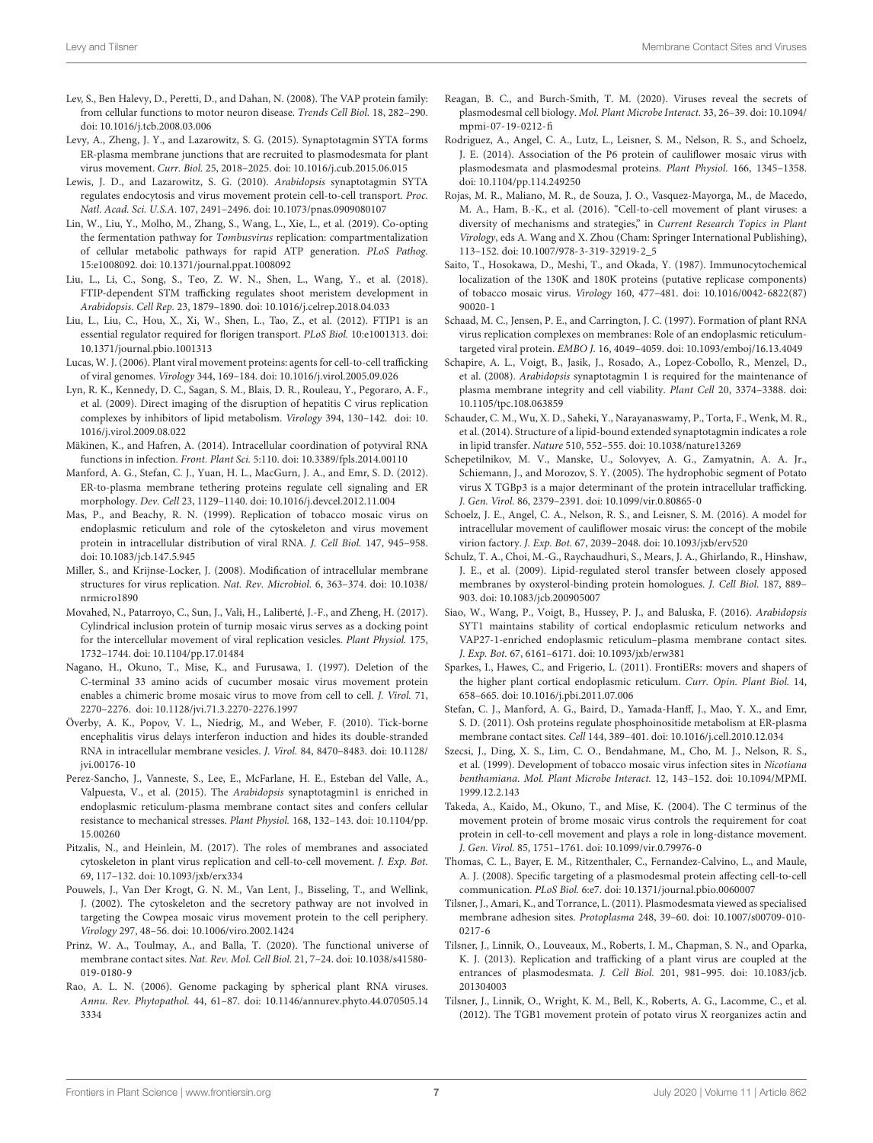- <span id="page-6-10"></span>Lev, S., Ben Halevy, D., Peretti, D., and Dahan, N. (2008). The VAP protein family: from cellular functions to motor neuron disease. Trends Cell Biol. 18, 282–290. [doi: 10.1016/j.tcb.2008.03.006](https://doi.org/10.1016/j.tcb.2008.03.006)
- <span id="page-6-8"></span>Levy, A., Zheng, J. Y., and Lazarowitz, S. G. (2015). Synaptotagmin SYTA forms ER-plasma membrane junctions that are recruited to plasmodesmata for plant virus movement. Curr. Biol. 25, 2018–2025. [doi: 10.1016/j.cub.2015.06.015](https://doi.org/10.1016/j.cub.2015.06.015)
- <span id="page-6-26"></span>Lewis, J. D., and Lazarowitz, S. G. (2010). Arabidopsis synaptotagmin SYTA regulates endocytosis and virus movement protein cell-to-cell transport. Proc. Natl. Acad. Sci. U.S.A. 107, 2491–2496. [doi: 10.1073/pnas.0909080107](https://doi.org/10.1073/pnas.0909080107)
- <span id="page-6-22"></span>Lin, W., Liu, Y., Molho, M., Zhang, S., Wang, L., Xie, L., et al. (2019). Co-opting the fermentation pathway for Tombusvirus replication: compartmentalization of cellular metabolic pathways for rapid ATP generation. PLoS Pathog. 15:e1008092. [doi: 10.1371/journal.ppat.1008092](https://doi.org/10.1371/journal.ppat.1008092)
- <span id="page-6-19"></span>Liu, L., Li, C., Song, S., Teo, Z. W. N., Shen, L., Wang, Y., et al. (2018). FTIP-dependent STM trafficking regulates shoot meristem development in Arabidopsis. Cell Rep. 23, 1879–1890. [doi: 10.1016/j.celrep.2018.04.033](https://doi.org/10.1016/j.celrep.2018.04.033)
- <span id="page-6-18"></span>Liu, L., Liu, C., Hou, X., Xi, W., Shen, L., Tao, Z., et al. (2012). FTIP1 is an essential regulator required for florigen transport. PLoS Biol. 10:e1001313. [doi:](https://doi.org/10.1371/journal.pbio.1001313) [10.1371/journal.pbio.1001313](https://doi.org/10.1371/journal.pbio.1001313)
- <span id="page-6-3"></span>Lucas, W. J. (2006). Plant viral movement proteins: agents for cell-to-cell trafficking of viral genomes. Virology 344, 169–184. [doi: 10.1016/j.virol.2005.09.026](https://doi.org/10.1016/j.virol.2005.09.026)
- <span id="page-6-24"></span>Lyn, R. K., Kennedy, D. C., Sagan, S. M., Blais, D. R., Rouleau, Y., Pegoraro, A. F., et al. (2009). Direct imaging of the disruption of hepatitis C virus replication complexes by inhibitors of lipid metabolism. Virology 394, 130–142. [doi: 10.](https://doi.org/10.1016/j.virol.2009.08.022) [1016/j.virol.2009.08.022](https://doi.org/10.1016/j.virol.2009.08.022)
- <span id="page-6-23"></span>Mäkinen, K., and Hafren, A. (2014). Intracellular coordination of potyviral RNA functions in infection. Front. Plant Sci. 5:110. [doi: 10.3389/fpls.2014.00110](https://doi.org/10.3389/fpls.2014.00110)
- <span id="page-6-13"></span>Manford, A. G., Stefan, C. J., Yuan, H. L., MacGurn, J. A., and Emr, S. D. (2012). ER-to-plasma membrane tethering proteins regulate cell signaling and ER morphology. Dev. Cell 23, 1129–1140. [doi: 10.1016/j.devcel.2012.11.004](https://doi.org/10.1016/j.devcel.2012.11.004)
- <span id="page-6-25"></span>Mas, P., and Beachy, R. N. (1999). Replication of tobacco mosaic virus on endoplasmic reticulum and role of the cytoskeleton and virus movement protein in intracellular distribution of viral RNA. J. Cell Biol. 147, 945–958. [doi: 10.1083/jcb.147.5.945](https://doi.org/10.1083/jcb.147.5.945)
- <span id="page-6-20"></span>Miller, S., and Krijnse-Locker, J. (2008). Modification of intracellular membrane structures for virus replication. Nat. Rev. Microbiol. 6, 363–374. [doi: 10.1038/](https://doi.org/10.1038/nrmicro1890) [nrmicro1890](https://doi.org/10.1038/nrmicro1890)
- <span id="page-6-33"></span>Movahed, N., Patarroyo, C., Sun, J., Vali, H., Laliberté, J.-F., and Zheng, H. (2017). Cylindrical inclusion protein of turnip mosaic virus serves as a docking point for the intercellular movement of viral replication vesicles. Plant Physiol. 175, 1732–1744. [doi: 10.1104/pp.17.01484](https://doi.org/10.1104/pp.17.01484)
- <span id="page-6-4"></span>Nagano, H., Okuno, T., Mise, K., and Furusawa, I. (1997). Deletion of the C-terminal 33 amino acids of cucumber mosaic virus movement protein enables a chimeric brome mosaic virus to move from cell to cell. J. Virol. 71, 2270–2276. [doi: 10.1128/jvi.71.3.2270-2276.1997](https://doi.org/10.1128/jvi.71.3.2270-2276.1997)
- <span id="page-6-21"></span>Överby, A. K., Popov, V. L., Niedrig, M., and Weber, F. (2010). Tick-borne encephalitis virus delays interferon induction and hides its double-stranded RNA in intracellular membrane vesicles. J. Virol. 84, 8470–8483. [doi: 10.1128/](https://doi.org/10.1128/jvi.00176-10) [jvi.00176-10](https://doi.org/10.1128/jvi.00176-10)
- <span id="page-6-9"></span>Perez-Sancho, J., Vanneste, S., Lee, E., McFarlane, H. E., Esteban del Valle, A., Valpuesta, V., et al. (2015). The Arabidopsis synaptotagmin1 is enriched in endoplasmic reticulum-plasma membrane contact sites and confers cellular resistance to mechanical stresses. Plant Physiol. 168, 132–143. [doi: 10.1104/pp.](https://doi.org/10.1104/pp.15.00260) [15.00260](https://doi.org/10.1104/pp.15.00260)
- <span id="page-6-1"></span>Pitzalis, N., and Heinlein, M. (2017). The roles of membranes and associated cytoskeleton in plant virus replication and cell-to-cell movement. J. Exp. Bot. 69, 117–132. [doi: 10.1093/jxb/erx334](https://doi.org/10.1093/jxb/erx334)
- <span id="page-6-28"></span>Pouwels, J., Van Der Krogt, G. N. M., Van Lent, J., Bisseling, T., and Wellink, J. (2002). The cytoskeleton and the secretory pathway are not involved in targeting the Cowpea mosaic virus movement protein to the cell periphery. Virology 297, 48–56. [doi: 10.1006/viro.2002.1424](https://doi.org/10.1006/viro.2002.1424)
- <span id="page-6-38"></span>Prinz, W. A., Toulmay, A., and Balla, T. (2020). The functional universe of membrane contact sites. Nat. Rev. Mol. Cell Biol. 21, 7–24. [doi: 10.1038/s41580-](https://doi.org/10.1038/s41580-019-0180-9) [019-0180-9](https://doi.org/10.1038/s41580-019-0180-9)
- <span id="page-6-6"></span>Rao, A. L. N. (2006). Genome packaging by spherical plant RNA viruses. Annu. Rev. Phytopathol. 44, 61–87. [doi: 10.1146/annurev.phyto.44.070505.14](https://doi.org/10.1146/annurev.phyto.44.070505.143334) [3334](https://doi.org/10.1146/annurev.phyto.44.070505.143334)
- <span id="page-6-2"></span>Reagan, B. C., and Burch-Smith, T. M. (2020). Viruses reveal the secrets of plasmodesmal cell biology. Mol. Plant Microbe Interact. 33, 26–39. [doi: 10.1094/](https://doi.org/10.1094/mpmi-07-19-0212-fi) [mpmi-07-19-0212-fi](https://doi.org/10.1094/mpmi-07-19-0212-fi)
- <span id="page-6-35"></span>Rodriguez, A., Angel, C. A., Lutz, L., Leisner, S. M., Nelson, R. S., and Schoelz, J. E. (2014). Association of the P6 protein of cauliflower mosaic virus with plasmodesmata and plasmodesmal proteins. Plant Physiol. 166, 1345–1358. [doi: 10.1104/pp.114.249250](https://doi.org/10.1104/pp.114.249250)
- <span id="page-6-0"></span>Rojas, M. R., Maliano, M. R., de Souza, J. O., Vasquez-Mayorga, M., de Macedo, M. A., Ham, B.-K., et al. (2016). "Cell-to-cell movement of plant viruses: a diversity of mechanisms and strategies," in Current Research Topics in Plant Virology, eds A. Wang and X. Zhou (Cham: Springer International Publishing), 113–152. [doi: 10.1007/978-3-319-32919-2\\_5](https://doi.org/10.1007/978-3-319-32919-2_5)
- <span id="page-6-30"></span>Saito, T., Hosokawa, D., Meshi, T., and Okada, Y. (1987). Immunocytochemical localization of the 130K and 180K proteins (putative replicase components) of tobacco mosaic virus. Virology 160, 477–481. [doi: 10.1016/0042-6822\(87\)](https://doi.org/10.1016/0042-6822(87)90020-1) [90020-1](https://doi.org/10.1016/0042-6822(87)90020-1)
- <span id="page-6-32"></span>Schaad, M. C., Jensen, P. E., and Carrington, J. C. (1997). Formation of plant RNA virus replication complexes on membranes: Role of an endoplasmic reticulumtargeted viral protein. EMBO J. 16, 4049–4059. [doi: 10.1093/emboj/16.13.4049](https://doi.org/10.1093/emboj/16.13.4049)
- <span id="page-6-17"></span>Schapire, A. L., Voigt, B., Jasik, J., Rosado, A., Lopez-Cobollo, R., Menzel, D., et al. (2008). Arabidopsis synaptotagmin 1 is required for the maintenance of plasma membrane integrity and cell viability. Plant Cell 20, 3374–3388. [doi:](https://doi.org/10.1105/tpc.108.063859) [10.1105/tpc.108.063859](https://doi.org/10.1105/tpc.108.063859)
- <span id="page-6-15"></span>Schauder, C. M., Wu, X. D., Saheki, Y., Narayanaswamy, P., Torta, F., Wenk, M. R., et al. (2014). Structure of a lipid-bound extended synaptotagmin indicates a role in lipid transfer. Nature 510, 552–555. [doi: 10.1038/nature13269](https://doi.org/10.1038/nature13269)
- <span id="page-6-29"></span>Schepetilnikov, M. V., Manske, U., Solovyev, A. G., Zamyatnin, A. A. Jr., Schiemann, J., and Morozov, S. Y. (2005). The hydrophobic segment of Potato virus X TGBp3 is a major determinant of the protein intracellular trafficking. J. Gen. Virol. 86, 2379–2391. [doi: 10.1099/vir.0.80865-0](https://doi.org/10.1099/vir.0.80865-0)
- <span id="page-6-36"></span>Schoelz, J. E., Angel, C. A., Nelson, R. S., and Leisner, S. M. (2016). A model for intracellular movement of cauliflower mosaic virus: the concept of the mobile virion factory. J. Exp. Bot. 67, 2039–2048. [doi: 10.1093/jxb/erv520](https://doi.org/10.1093/jxb/erv520)
- <span id="page-6-11"></span>Schulz, T. A., Choi, M.-G., Raychaudhuri, S., Mears, J. A., Ghirlando, R., Hinshaw, J. E., et al. (2009). Lipid-regulated sterol transfer between closely apposed membranes by oxysterol-binding protein homologues. J. Cell Biol. 187, 889– 903. [doi: 10.1083/jcb.200905007](https://doi.org/10.1083/jcb.200905007)
- <span id="page-6-14"></span>Siao, W., Wang, P., Voigt, B., Hussey, P. J., and Baluska, F. (2016). Arabidopsis SYT1 maintains stability of cortical endoplasmic reticulum networks and VAP27-1-enriched endoplasmic reticulum–plasma membrane contact sites. J. Exp. Bot. 67, 6161–6171. [doi: 10.1093/jxb/erw381](https://doi.org/10.1093/jxb/erw381)
- <span id="page-6-16"></span>Sparkes, I., Hawes, C., and Frigerio, L. (2011). FrontiERs: movers and shapers of the higher plant cortical endoplasmic reticulum. Curr. Opin. Plant Biol. 14, 658–665. [doi: 10.1016/j.pbi.2011.07.006](https://doi.org/10.1016/j.pbi.2011.07.006)
- <span id="page-6-12"></span>Stefan, C. J., Manford, A. G., Baird, D., Yamada-Hanff, J., Mao, Y. X., and Emr, S. D. (2011). Osh proteins regulate phosphoinositide metabolism at ER-plasma membrane contact sites. Cell 144, 389–401. [doi: 10.1016/j.cell.2010.12.034](https://doi.org/10.1016/j.cell.2010.12.034)
- <span id="page-6-31"></span>Szecsi, J., Ding, X. S., Lim, C. O., Bendahmane, M., Cho, M. J., Nelson, R. S., et al. (1999). Development of tobacco mosaic virus infection sites in Nicotiana benthamiana. Mol. Plant Microbe Interact. 12, 143–152. [doi: 10.1094/MPMI.](https://doi.org/10.1094/MPMI.1999.12.2.143) [1999.12.2.143](https://doi.org/10.1094/MPMI.1999.12.2.143)
- <span id="page-6-5"></span>Takeda, A., Kaido, M., Okuno, T., and Mise, K. (2004). The C terminus of the movement protein of brome mosaic virus controls the requirement for coat protein in cell-to-cell movement and plays a role in long-distance movement. J. Gen. Virol. 85, 1751–1761. [doi: 10.1099/vir.0.79976-0](https://doi.org/10.1099/vir.0.79976-0)
- <span id="page-6-27"></span>Thomas, C. L., Bayer, E. M., Ritzenthaler, C., Fernandez-Calvino, L., and Maule, A. J. (2008). Specific targeting of a plasmodesmal protein affecting cell-to-cell communication. PLoS Biol. 6:e7. [doi: 10.1371/journal.pbio.0060007](https://doi.org/10.1371/journal.pbio.0060007)
- <span id="page-6-37"></span>Tilsner, J., Amari, K., and Torrance, L. (2011). Plasmodesmata viewed as specialised membrane adhesion sites. Protoplasma 248, 39–60. [doi: 10.1007/s00709-010-](https://doi.org/10.1007/s00709-010-0217-6) [0217-6](https://doi.org/10.1007/s00709-010-0217-6)
- <span id="page-6-7"></span>Tilsner, J., Linnik, O., Louveaux, M., Roberts, I. M., Chapman, S. N., and Oparka, K. J. (2013). Replication and trafficking of a plant virus are coupled at the entrances of plasmodesmata. J. Cell Biol. 201, 981–995. [doi: 10.1083/jcb.](https://doi.org/10.1083/jcb.201304003) [201304003](https://doi.org/10.1083/jcb.201304003)
- <span id="page-6-34"></span>Tilsner, J., Linnik, O., Wright, K. M., Bell, K., Roberts, A. G., Lacomme, C., et al. (2012). The TGB1 movement protein of potato virus X reorganizes actin and